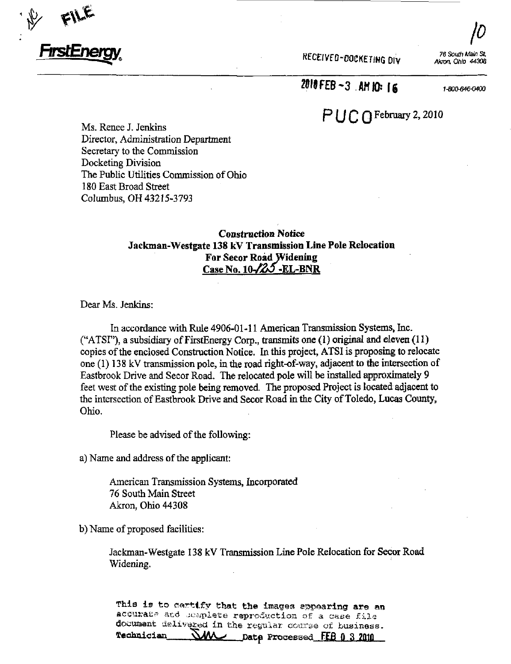

RECEIVED-OOCKETING DIV

 $\mu_{\parallel}$ 76 South Main St. Akron. Ohio 44308

2010 FEB -3 AM 10: 16

1-800-646-0400

## $P$  $\bigcup$  $C$  $\bigcap$  February 2, 2010

Ms. Renee J. Jenkins Director, Administration Department Secretary to the Commission Docketing Division The Public Utilities Commission of Ohio 180 East Broad Street Columbus, OH 43215-3793

#### Construction Notice Jackman-Westgate 138 kV Transmission Line Pole Relocation For Secor Road Widening Case No.  $10\frac{1}{25}$  -EL-BNR

Dear Ms. Jenkins:

In accordance with Rule 4906-01-11 American Transmission Systems, Inc. ("ATSI"), a subsidiary of FirstEnergy Corp., transmits one  $(1)$  original and eleven  $(11)$ copies of the enclosed Construction Notice. In this project, ATSI is proposing to relocate one  $(1)$  138 kV transmission pole, in the road right-of-way, adjacent to the intersection of Eastbrook Drive and Secor Road. The relocated pole will be installed approximately 9 feet west of the existing pole being removed. The proposed Project is located adjacent to the intersection of Eastbrook Drive and Secor Road in the City of Toledo, Lucas County, Ohio,

Please be advised of the following:

a) Name and address of the applicant:

American Transmission Systems, Incorporated 76 South Main Street Akron, Ohio 44308

b) Name of proposed facilities:

Jackman-Westgate 138 kV Transmission Line Pole Relocation for Secor Road Widening.

This is to certify that the images appearing are an acourate and ..ioplete reproduction of a case file documant delivered in the regular course of business.<br>Technician - NAA - pate Processed FFR 0 3 2010  $M\ll$  Date Processed FEB 0 3 2010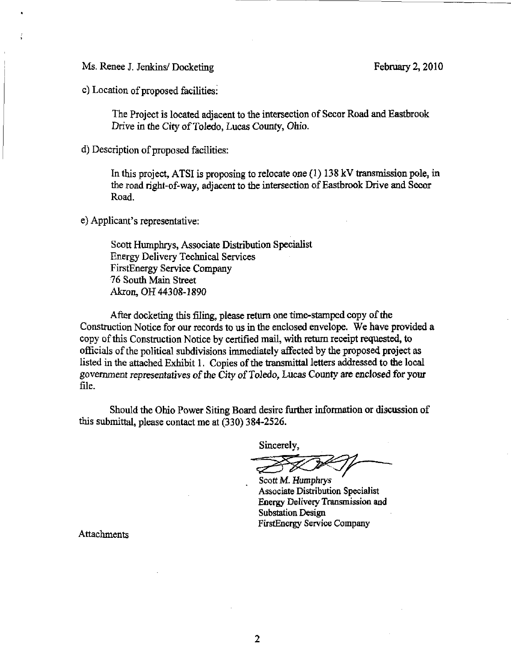Ms. Renee J. Jenkins/ Docketing February 2, 2010

c) Location of proposed facilities:

The Project is located adjacent to the mtersection of Secor Road and Eastbrook Drive in the City of Toledo, Lucas County, Ohio.

d) Description of proposed facilities:

In this project, ATSI is proposing to relocate one (1) 138 kV transmission pole, in the road right-of-way, adjacent to the intersection of Eastbrook Drive and Secor Road.

e) Applicant's representative:

Scott Humphrys, Associate Distribution Specialist Energy Delivery Technical Services FirstEnergy Service Company 76 South Main Street Akron, OH 44308-1890

After docketing this filing, please return one time-stamped copy of the Construction Notice for our records to us in the enclosed envelope. We have provided a copy of this Construction Notice by certified mail, with return receipt requested, to officials of the political subdivisions immediately affected by the proposed project as listed in the attached Exhibit 1. Copies of the transmittal letters addressed to the local govermnent representatives of the City of Toledo, Lucas County are enclosed for your file.

Should the Ohio Power Siting Board desire further information or discussion of this submittal, please contact me at (330) 384-2526.

Sincerely,

Scott M. Humphrys Associate Distribution Specialist Energy Delivery Transmission and Substation Design FirstEnergy Service Company

Attachments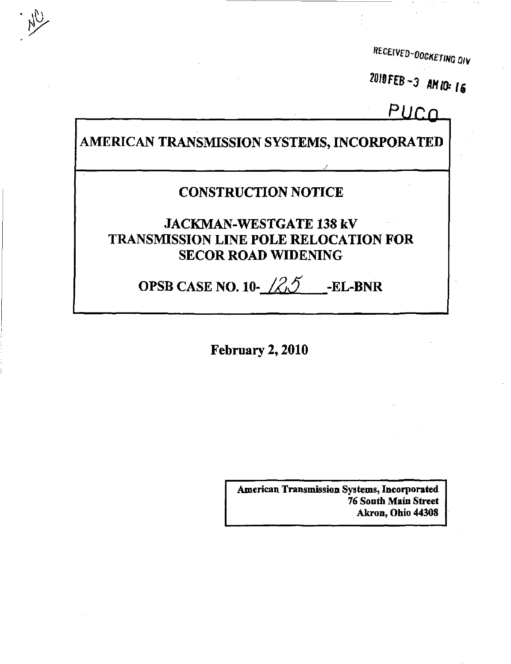RECEIVED-DOCKETING DIV

2010FEB-3 AM IO: 16

## PUCO

AMERICAN TRANSMISSION SYSTEMS, INCORPORATED

"A

### CONSTRUCTION NOTICE

JACKMAN-WESTGATE 138 kV TRANSMISSION LINE POLE RELOCATION FOR SECOR ROAD WIDENING

# OPSB CASE NO. 10- $\angle \angle \angle \angle j$  -EL-BNR

February 2,2010

American Transmission Systems, Incorporated 76 South Main Street Akron, Ohio 44308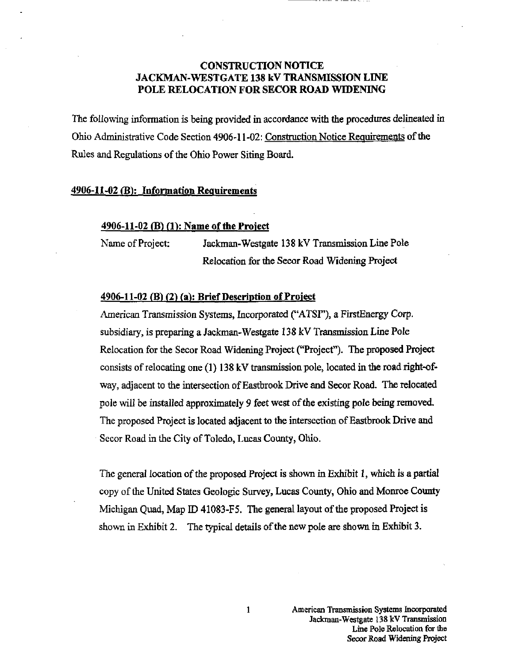#### CONSTRUCTION NOTICE JACKMAN-WESTGATE 138 kV TRANSMISSION LINE POLE RELOCATION FOR SECOR ROAD WIDENING

The following information is being provided in accordance with the procedures delineated in Ohio Admmistrative Code Section 4906-11-02: Construction Notice Requirements of the Rules and Regulations of the Ohio Power Siting Board.

#### 4906-11-02 (B): Information Requirements

#### 4906-11-02 (B) (1): Name of the Project

Name of Project: Jackman-Westgate 138 kV Transmission Line Pole Relocation for the Secor Road Widening Project

#### 4906-11-02 (B) (2) (a): Brief Description of Project

American Transmission Systems, Incorporated ("ATSI"), a FirstEnergy Corp. subsidiary, is preparing a Jackman-Westgate 138 kV Transmission Line Pole Relocation for the Secor Road Widening Project ("Project"). The proposed Project consists of relocating one  $(1)$  138 kV transmission pole, located in the road right-ofway, adjacent to the intersection of Eastbrook Drive and Secor Road. The relocated pole will be installed approximately 9 feet west of the existing pole being removed. The proposed Project is located adjacent to the intersection of Eastbrook Drive and Secor Road in the City of Toledo, Lucas County, Ohio.

The general location of the proposed Project is shown in Exhibit 1, which is a partial copy of the United States Geologic Survey, Lucas County, Ohio and Monroe County Michigan Quad, Map ID 41083-F5. The general layout of the proposed Project is shown in Exhibit 2. The typical details of the new pole are shown in Exhibit 3.

 $\mathbf{1}$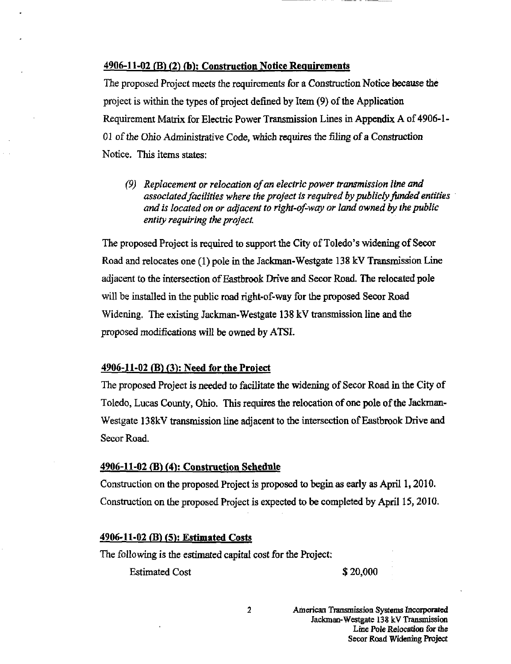#### $4906-11-02$  (B) (2) (b): Construction Notice Requirements

The proposed Project meets the requirements for a Construction Notice because the project is within the types of project defined by Item (9) of the Application Requirement Matrix for Electric Power Transmission Lines in Appendix A of 4906-1- 01 of the Ohio Administrative Code, which requires the filing of a Construction Notice. This items states:

(9) Replacement or relocation of an electric power transmission line and associated facilities where the project is required by publicly funded entities and is located on or adjacent to right-of-way or land owned by the public entity requiring the project.

The proposed Project is required to support the City of Toledo's widening of Secor Road and relocates one  $(1)$  pole in the Jackman-Westgate 138 kV Transmission Line adjacent to the intersection of Eastbrook Drive and Secor Road. The relocated pole will be installed in the public road right-of-way for the proposed Secor Road Widening, The existing Jackman-Westgate 138 kV transmission line and the proposed modifications will be owned by ATSI.

#### $4906 - 11 - 02$  (B) (3): Need for the Project

The proposed Project is needed to facilitate the widening of Secor Road in the City of Toledo, Lucas County, Ohio. This requires the relocation of one pole of the Jackman-Westgate 138kV transmission line adjacent to the intersection of Eastbrook Drive and Secor Road.

#### 4906-11-02 (B) (4): Construction Schedule

Construction on the proposed Project is proposed to begin as early as April 1,2010. Construction on the proposed Project is expected to be completed by April 15,2010.

#### 4906-11-02 (B) (5): Estimated Costs

The following is the estimated capital cost for the Project;

Estimated Cost \$20,000

 $\overline{\mathbf{c}}$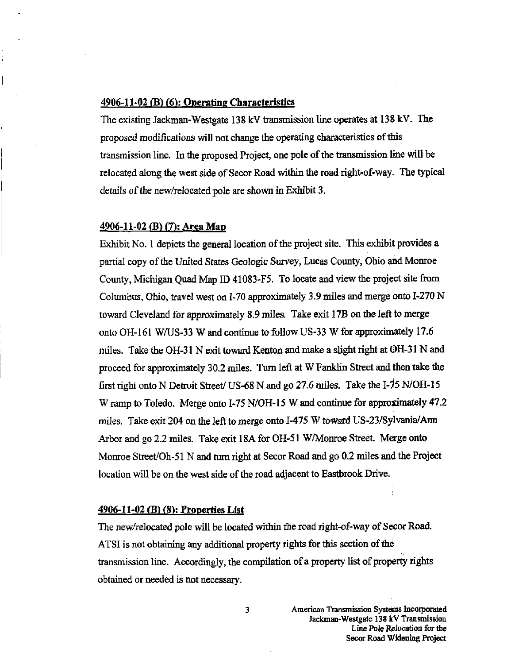#### $4906-11-02$  (B)  $(6)$ : Operating Characteristics

The existing Jackman-Westgate 138 kV transmission line operates at 138 kV. The proposed modifications will not change the operating characteristics of this transmission line. In the proposed Project, one pole of the transmission line will be relocated along the west side of Secor Road within the road right-of-way. The typical details of the new/relocated pole are shown in Exhibit 3.

#### 4906-11-02 (B) (7): Area Man

Exhibit No. 1 depicts the general location of the project site. This exhibit provides a partial copy of the United States Geologic Survey, Lucas County, Ohio and Monroe County, Michigan Quad Map ID 41083-F5. To locate and view the project site from Columbus, Ohio, travel west on 1-70 approximately 3.9 miles and merge onto 1-270 N toward Cleveland for approximately 8.9 miles. Take exit 17B on the left to merge onto OH-161 W/US-33 W and continue to follow US-33 W for approximately 17.6 miles. Take the OH-31 N exit toward Kenton and make a slight right at OH-31 N and proceed for approximately 30.2 miles. Turn left at W Fanklin Street and then take the first right onto N Detroit Street/ US-68 N and go 27.6 miles. Take the I-75 N/OH-15 W ramp to Toledo. Merge onto 1-75 N/OH-15 W and continue for approximately 47.2 miles. Take exit 204 on the left to merge onto 1-475 W toward US-23/Sylvania/Ann Arbor and go 2.2 miles. Take exit 18A for OH-51 W/Monroe Street. Merge onto Monroe Street/Oh-51 N and turn right at Secor Road and go 0.2 miles and the Project location will be on the west side of the road adjacent to Eastbrook Drive.

#### 4906-11-02 <B) (8): Properties List

The new/relocated pole will be located within the road right-of-way of Secor Road. ATSI is not obtaining any additional property rights for this section of the transmission line. Accordingly, the compilation of a property list of property rights obtained or needed is not necessary.

3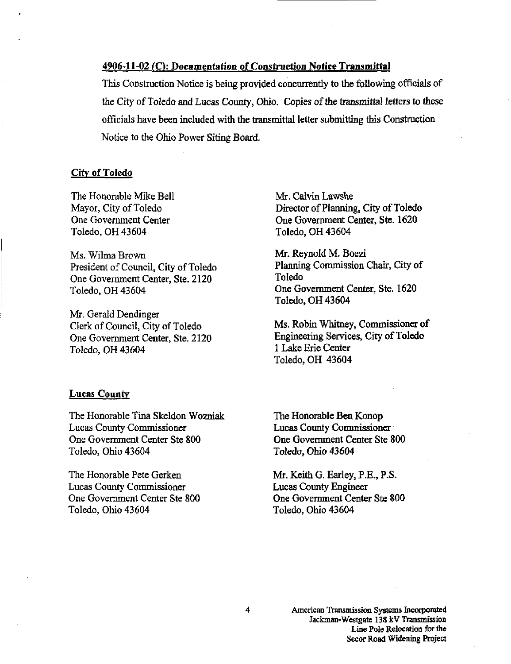#### 4906-11-02 (C); Documentation of Construction Notice Transmittal

This Construction Notice is being provided concurrentiy to the following officials of the City of Toledo and Lucas County, Ohio. Copies of the transmittal letters to these officials have been included with the transmittal letter submitting this Construction Notice to the Ohio Power Siting Board.

#### City of Toledo

The Honorable Mike Bell Mayor, City of Toledo One Government Center Toledo, OH 43604

Ms. Wilma Brown President of Council, City of Toledo One Government Center, Ste. 2120 Toledo, OH 43604

Mr. Gerald Dendinger Clerk of Council, City of Toledo One Government Center, Ste. 2120 Toledo, OH 43604

Mr. Calvin Lawshe Director of Planning, City of Toledo One Govermnent Center, Ste. 1620 Toledo, OH 43604

Mr. Reynold M. Boezi Planning Commission Chair, City of Toledo One Government Center, Ste. 1620 Toledo, OH 43604

Ms. Robin Whitney, Commissioner of Engineering Services, City of Toledo 1 Lake Erie Center Toledo, OH 43604

#### Lucas County

The Honorable Tina Skeldon Wozniak Lucas County Commissioner One Govermnent Center Ste 800 Toledo, Ohio 43604

The Honorable Pete Gerken Lucas County Commissioner One Government Center Ste 800 Toledo, Ohio 43604

The Honorable Ben Konop Lucas County Commissioner One Government Center Ste 800 Toledo, Ohio 43604

Mr. Keith G. Earley, P.E., P.S. Lucas County Engineer One Government Center Ste 800 Toledo, Ohio 43604

> American Transmission Systems Incorporated Jackman-Westgate 138 kV Transmission Line Pole Relocation for the Secor Road Widening Project

4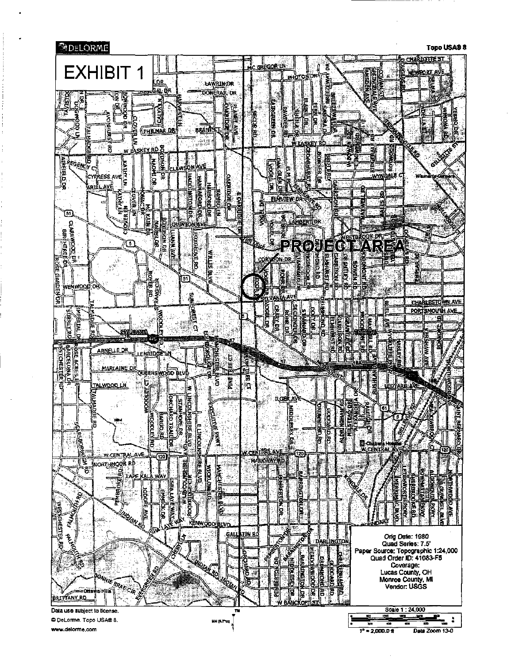

www.delorme.com

 $7^{\circ}$  = 2,000.0  $\pi$ Data Zoom 13-0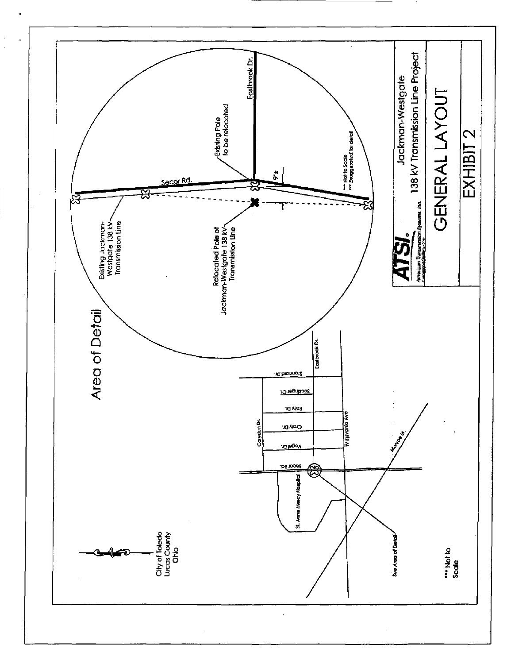

l,